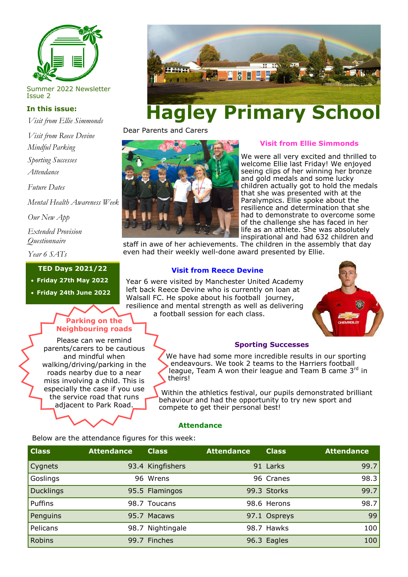

Summer 2022 Newsletter Issue 2

## **In this issue:**

*Visit from Ellie Simmonds*

*Visit from Reece Devine Mindful Parking* 

*Sporting Successes*

*Attendance* 

*Future Dates* 

*Mental Health Awareness Week*

*Our New App*

*Extended Provision Questionnaire*

*Year 6 SATs*

#### **TED Days 2021/22**

• **Friday 27th May 2022**

• **Friday 24th June 2022**

# **Parking on the Neighbouring roads**

Please can we remind parents/carers to be cautious and mindful when walking/driving/parking in the roads nearby due to a near miss involving a child. This is especially the case if you use the service road that runs adjacent to Park Road.



# **Hagley Primary School**

Dear Parents and Carers



## **Visit from Ellie Simmonds**

We were all very excited and thrilled to welcome Ellie last Friday! We enjoyed seeing clips of her winning her bronze and gold medals and some lucky children actually got to hold the medals that she was presented with at the Paralympics. Ellie spoke about the resilience and determination that she had to demonstrate to overcome some of the challenge she has faced in her life as an athlete. She was absolutely inspirational and had 632 children and

staff in awe of her achievements. The children in the assembly that day even had their weekly well-done award presented by Ellie.

# **Visit from Reece Devine**

Year 6 were visited by Manchester United Academy left back Reece Devine who is currently on loan at Walsall FC. He spoke about his football journey, resilience and mental strength as well as delivering a football session for each class.



#### **Sporting Successes**

We have had some more incredible results in our sporting endeavours. We took 2 teams to the Harriers football league, Team A won their league and Team B came 3rd in theirs!

Within the athletics festival, our pupils demonstrated brilliant behaviour and had the opportunity to try new sport and compete to get their personal best!

#### **Attendance**

Below are the attendance figures for this week:

| <b>Class</b> | <b>Attendance</b> | <b>Class</b>     | <b>Attendance</b> | <b>Class</b> | <b>Attendance</b> |
|--------------|-------------------|------------------|-------------------|--------------|-------------------|
| Cygnets      |                   | 93.4 Kingfishers |                   | 91 Larks     | 99.7              |
| Goslings     |                   | 96 Wrens         |                   | 96 Cranes    | 98.3              |
| Ducklings    |                   | 95.5 Flamingos   |                   | 99.3 Storks  | 99.7              |
| Puffins      |                   | 98.7 Toucans     |                   | 98.6 Herons  | 98.7              |
| Penguins     |                   | 95.7 Macaws      |                   | 97.1 Ospreys | 99                |
| Pelicans     |                   | 98.7 Nightingale |                   | 98.7 Hawks   | 100               |
| Robins       |                   | 99.7 Finches     |                   | 96.3 Eagles  | 100               |